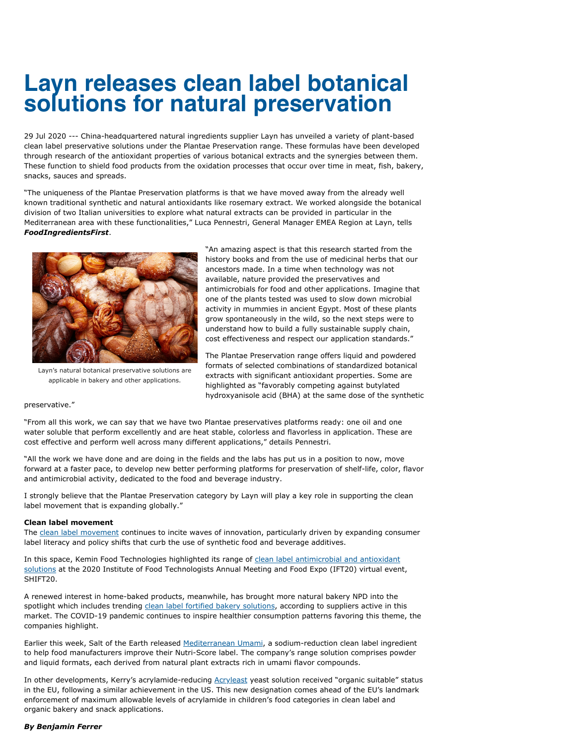## **Layn releases clean label botanical solutions for natural preservation**

29 Jul 2020 --- China-headquartered natural ingredients supplier Layn has unveiled a variety of plant-based clean label preservative solutions under the Plantae Preservation range. These formulas have been developed through research of the antioxidant properties of various botanical extracts and the synergies between them. These function to shield food products from the oxidation processes that occur over time in meat, fish, bakery, snacks, sauces and spreads.

"The uniqueness of the Plantae Preservation platforms is that we have moved away from the already well known traditional synthetic and natural antioxidants like rosemary extract. We worked alongside the botanical division of two Italian universities to explore what natural extracts can be provided in particular in the Mediterranean area with these functionalities," Luca Pennestri, General Manager EMEA Region at Layn, tells *FoodIngredientsFirst*.



applicable in bakery and other applications.

"An amazing aspect is that this research started from the history books and from the use of medicinal herbs that our ancestors made. In a time when technology was not available, nature provided the preservatives and antimicrobials for food and other applications. Imagine that one of the plants tested was used to slow down microbial activity in mummies in ancient Egypt. Most of these plants grow spontaneously in the wild, so the next steps were to understand how to build a fully sustainable supply chain, cost effectiveness and respect our application standards."

The Plantae Preservation range offers liquid and powdered formats of selected combinations of standardized botanical extracts with significant antioxidant properties. Some are highlighted as "favorably competing against butylated hydroxyanisole acid (BHA) at the same dose of the synthetic

## preservative."

"From all this work, we can say that we have two Plantae preservatives platforms ready: one oil and one water soluble that perform excellently and are heat stable, colorless and flavorless in application. These are cost effective and perform well across many different applications," details Pennestri.

"All the work we have done and are doing in the fields and the labs has put us in a position to now, move forward at a faster pace, to develop new better performing platforms for preservation of shelf-life, color, flavor and antimicrobial activity, dedicated to the food and beverage industry.

I strongly believe that the Plantae Preservation category by Layn will play a key role in supporting the clean label movement that is expanding globally."

## **Clean label movement**

The [clean label movement](https://www.foodingredientsfirst.com/news/defining-clean-label-term-shifts-as-intersection-with-provenance-and-plant-based-emerges.html) continues to incite waves of innovation, particularly driven by expanding consumer label literacy and policy shifts that curb the use of synthetic food and beverage additives.

In this space, Kemin Food Technologies highlighted its range of clean label antimicrobial and antioxidant [solutions at the 2020 Institute of Food Technologists Annual Meeting and Food Expo \(IFT20\) virtual even](https://www.foodingredientsfirst.com/news/bakery-and-snacks-kemin-exec-talks-shelf-life-and-food-safety-innovations.html)t, SHIFT20.

A renewed interest in home-baked products, meanwhile, has brought more natural bakery NPD into the spotlight which includes trending [clean label fortified bakery solutions](https://www.foodingredientsfirst.com/news/bakery-and-snacks-kemin-exec-talks-shelf-life-and-food-safety-innovations.html), according to suppliers active in this market. The COVID-19 pandemic continues to inspire healthier consumption patterns favoring this theme, the companies highlight.

Earlier this week, Salt of the Earth released [Mediterranean Umami,](https://www.foodingredientsfirst.com/news/mediterranean-umami-can-reduce-sodium-up-to-45-percent-says-salt-of-the-earth.html) a sodium-reduction clean label ingredient to help food manufacturers improve their Nutri-Score label. The company's range solution comprises powder and liquid formats, each derived from natural plant extracts rich in umami flavor compounds.

In other developments, Kerry's acrylamide-reducing [Acryleast](https://www.foodingredientsfirst.com/news/bakery-and-snacks-kemin-exec-talks-shelf-life-and-food-safety-innovations.html) yeast solution received "organic suitable" status in the EU, following a similar achievement in the US. This new designation comes ahead of the EU's landmark enforcement of maximum allowable levels of acrylamide in children's food categories in clean label and organic bakery and snack applications. Layn's natural botanical preservative solutions are<br>applicable in bakery and other applications.<br> **Preservative.**"<br>
"From all this work, we can say that we have to<br>
water soluble that perform excellently and are<br>
cost effe